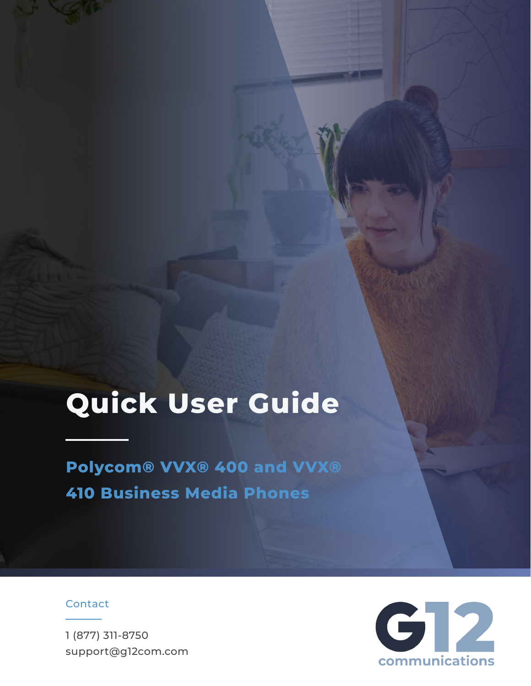# **Quick User Guide**

**Polycom® VVX® 400 and VVX® 410 Business Media Phones**

## Contact

1 (877) 311-8750 support@g12com.com

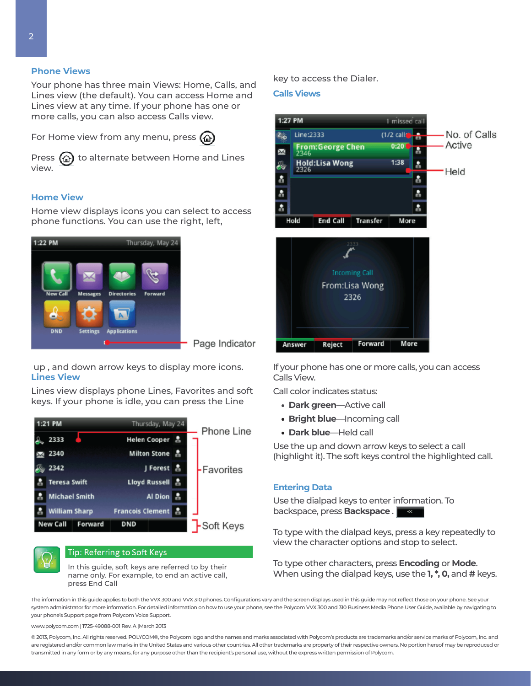## **Phone Views**

Your phone has three main Views: Home, Calls, and Lines view (the default). You can access Home and Lines view at any time. If your phone has one or more calls, you can also access Calls view.

For Home view from any menu, press  $\langle \hat{\omega} \rangle$ 



Press  $\left(\widehat{\omega}\right)$  to alternate between Home and Lines view.

## **Home View**

Home view displays icons you can select to access phone functions. You can use the right, left,



 up , and down arrow keys to display more icons. **Lines View**

Lines view displays phone Lines, Favorites and soft keys. If your phone is idle, you can press the Line





## Tip: Referring to Soft Keys

In this guide, soft keys are referred to by their name only. For example, to end an active call, press End Call

key to access the Dialer.

#### **Calls Views**



If your phone has one or more calls, you can access Calls View.

Call color indicates status:

- **Dark green**—Active call
- **• Bright blue**—Incoming call
- **• Dark blue**—Held call

Use the up and down arrow keys to select a call (highlight it). The soft keys control the highlighted call.

## **Entering Data**

Use the dialpad keys to enter information. To backspace, press **Backspace** .

To type with the dialpad keys, press a key repeatedly to view the character options and stop to select.

To type other characters, press **Encoding** or **Mode**. When using the dialpad keys, use the **1, \*, 0,** and **#** keys.

The information in this guide applies to both the VVX 300 and VVX 310 phones. Configurations vary and the screen displays used in this guide may not reflect those on your phone. See your system administrator for more information. For detailed information on how to use your phone, see the Polycom VVX 300 and 310 Business Media Phone User Guide, available by navigating to your phone's Support page from Polycom Voice Support.

www.polycom.com | 1725-49088-001 Rev. A |March 2013

© 2013, Polycom, Inc. All rights reserved. POLYCOM®, the Polycom logo and the names and marks associated with Polycom's products are trademarks and/or service marks of Polycom, Inc. and are registered and/or common law marks in the United States and various other countries. All other trademarks are property of their respective owners. No portion hereof may be reproduced or transmitted in any form or by any means, for any purpose other than the recipient's personal use, without the express written permission of Polycom.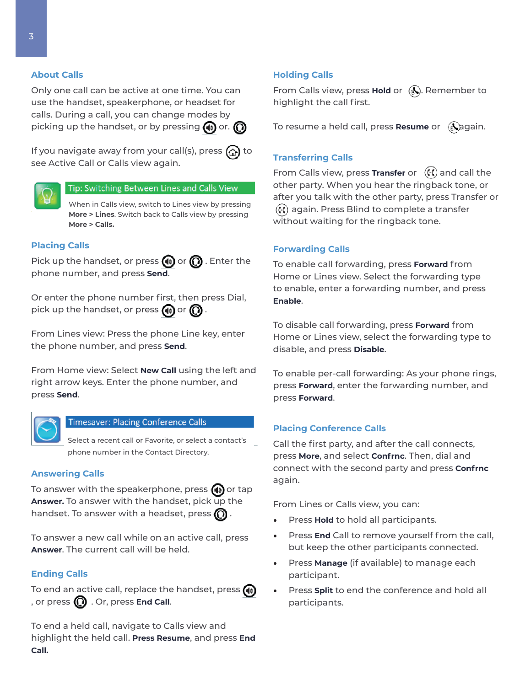## **About Calls**

Only one call can be active at one time. You can use the handset, speakerphone, or headset for calls. During a call, you can change modes by picking up the handset, or by pressing  $\textcircled{\tiny{1}}$  or.  $\textcircled{\tiny{2}}$ 

If you navigate away from your call(s), press  $\omega$  to see Active Call or Calls view again.



## Tip: Switching Between Lines and Calls View

When in Calls view, switch to Lines view by pressing **More > Lines**. Switch back to Calls view by pressing **More > Calls.**

#### **Placing Calls**

Pick up the handset, or press  $\textcircled{\tiny{1}}$  or  $\textcircled{\tiny{2}}$  . Enter the phone number, and press **Send**.

Or enter the phone number first, then press Dial, pick up the handset, or press  $\textcircled{\tiny{1}}$  or  $\textcircled{\tiny{2}}$  .

From Lines view: Press the phone Line key, enter the phone number, and press **Send**.

From Home view: Select **New Call** using the left and right arrow keys. Enter the phone number, and press **Send**.



## **Timesaver: Placing Conference Calls**

Select a recent call or Favorite, or select a contact's phone number in the Contact Directory.

#### **Answering Calls**

To answer with the speakerphone, press  $\bigcirc$  or tap **Answer.** To answer with the handset, pick up the handset. To answer with a headset, press  $\bigcirc$ .

To answer a new call while on an active call, press **Answer**. The current call will be held.

## **Ending Calls**

To end an active call, replace the handset, press  $\textcircled{\tiny{4}}$ , or press  $\mathbb{O}$  . Or, press **End Call**.

To end a held call, navigate to Calls view and highlight the held call. **Press Resume**, and press **End Call.**

#### **Holding Calls**

From Calls view, press **Hold** or  $\left(\frac{1}{N}\right)$ . Remember to highlight the call first.

To resume a held call, press **Resume** or  $\left(\bigotimes_{i=1}^{\infty} a_i\right)$  again.

## **Transferring Calls**

From Calls view, press **Transfer** or  $(\cdot)$  and call the other party. When you hear the ringback tone, or after you talk with the other party, press Transfer or  $(f)$  again. Press Blind to complete a transfer without waiting for the ringback tone.

## **Forwarding Calls**

To enable call forwarding, press **Forward** from Home or Lines view. Select the forwarding type to enable, enter a forwarding number, and press **Enable**.

To disable call forwarding, press **Forward** from Home or Lines view, select the forwarding type to disable, and press **Disable**.

To enable per-call forwarding: As your phone rings, press **Forward**, enter the forwarding number, and press **Forward**.

## **Placing Conference Calls**

Call the first party, and after the call connects, press **More**, and select **Confrnc**. Then, dial and connect with the second party and press **Confrnc** again.

From Lines or Calls view, you can:

- Press **Hold** to hold all participants.
- Press **End** Call to remove yourself from the call, but keep the other participants connected.
- Press **Manage** (if available) to manage each participant.
- Press **Split** to end the conference and hold all participants.